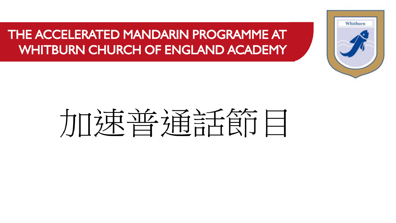## THE ACCELERATED MANDARIN PROGRAMME AT WHITBURN CHURCH OF ENGLAND ACADEMY



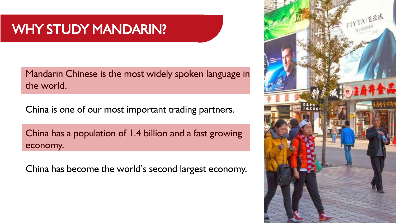## WHY STUDY MANDARIN?

Mandarin Chinese is the most widely spoken language in the world.

China is one of our most important trading partners.

China has a population of 1.4 billion and a fast growing economy.

China has become the world's second largest economy.

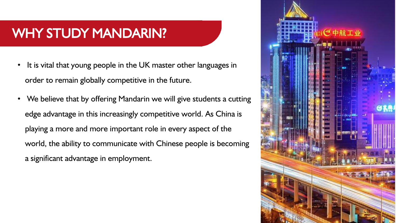## WHY STUDY MANDARIN?

- It is vital that young people in the UK master other languages in order to remain globally competitive in the future.
- We believe that by offering Mandarin we will give students a cutting edge advantage in this increasingly competitive world. As China is playing a more and more important role in every aspect of the world, the ability to communicate with Chinese people is becoming a significant advantage in employment.

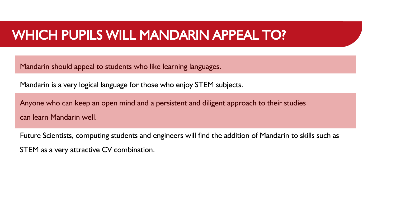#### WHICH PUPILS WILL MANDARIN APPEAL TO?

Mandarin should appeal to students who like learning languages.

Mandarin is a very logical language for those who enjoy STEM subjects.

Anyone who can keep an open mind and a persistent and diligent approach to their studies can learn Mandarin well.

Future Scientists, computing students and engineers will find the addition of Mandarin to skills such as STEM as a very attractive CV combination.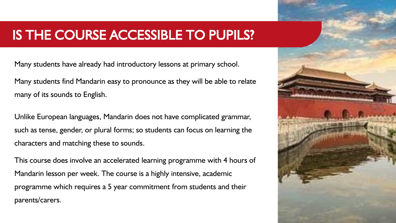### IS THE COURSE ACCESSIBLE TO PUPILS?

Many students have already had introductory lessons at primary school.

Many students find Mandarin easy to pronounce as they will be able to relate many of its sounds to English.

Unlike European languages, Mandarin does not have complicated grammar, such as tense, gender, or plural forms; so students can focus on learning the characters and matching these to sounds.

This course does involve an accelerated learning programme with 4 hours of Mandarin lesson per week. The course is a highly intensive, academic programme which requires a 5 year commitment from students and their parents/carers.

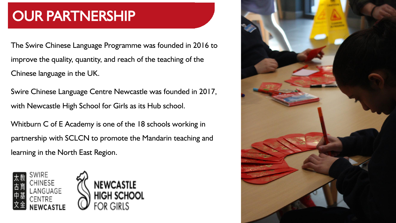# OUR PARTNERSHIP

The Swire Chinese Language Programme was founded in 2016 to improve the quality, quantity, and reach of the teaching of the Chinese language in the UK.

Swire Chinese Language Centre Newcastle was founded in 2017, with Newcastle High School for Girls as its Hub school.

Whitburn C of E Academy is one of the 18 schools working in partnership with SCLCN to promote the Mandarin teaching and learning in the North East Region.





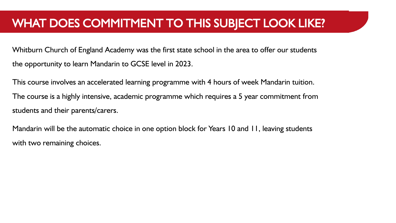Whitburn Church of England Academy was the first state school in the area to offer our students the opportunity to learn Mandarin to GCSE level in 2023.

This course involves an accelerated learning programme with 4 hours of week Mandarin tuition. The course is a highly intensive, academic programme which requires a 5 year commitment from students and their parents/carers.

Mandarin will be the automatic choice in one option block for Years 10 and 11, leaving students with two remaining choices.